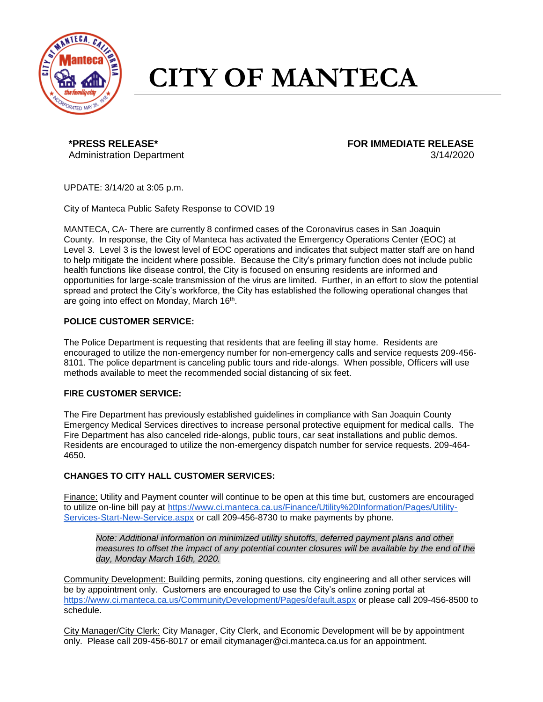

# **CITY OF MANTECA**

Administration Department 3/14/2020

**\*PRESS RELEASE\* FOR IMMEDIATE RELEASE**

UPDATE: 3/14/20 at 3:05 p.m.

City of Manteca Public Safety Response to COVID 19

MANTECA, CA- There are currently 8 confirmed cases of the Coronavirus cases in San Joaquin County. In response, the City of Manteca has activated the Emergency Operations Center (EOC) at Level 3. Level 3 is the lowest level of EOC operations and indicates that subject matter staff are on hand to help mitigate the incident where possible. Because the City's primary function does not include public health functions like disease control, the City is focused on ensuring residents are informed and opportunities for large-scale transmission of the virus are limited. Further, in an effort to slow the potential spread and protect the City's workforce, the City has established the following operational changes that are going into effect on Monday, March 16<sup>th</sup>.

## **POLICE CUSTOMER SERVICE:**

The Police Department is requesting that residents that are feeling ill stay home. Residents are encouraged to utilize the non-emergency number for non-emergency calls and service requests 209-456- 8101. The police department is canceling public tours and ride-alongs. When possible, Officers will use methods available to meet the recommended social distancing of six feet.

### **FIRE CUSTOMER SERVICE:**

The Fire Department has previously established guidelines in compliance with San Joaquin County Emergency Medical Services directives to increase personal protective equipment for medical calls. The Fire Department has also canceled ride-alongs, public tours, car seat installations and public demos. Residents are encouraged to utilize the non-emergency dispatch number for service requests. 209-464- 4650.

### **CHANGES TO CITY HALL CUSTOMER SERVICES:**

Finance: Utility and Payment counter will continue to be open at this time but, customers are encouraged to utilize on-line bill pay at [https://www.ci.manteca.ca.us/Finance/Utility%20Information/Pages/Utility-](https://www.ci.manteca.ca.us/Finance/Utility%20Information/Pages/Utility-Services-Start-New-Service.aspx)[Services-Start-New-Service.aspx](https://www.ci.manteca.ca.us/Finance/Utility%20Information/Pages/Utility-Services-Start-New-Service.aspx) or call 209-456-8730 to make payments by phone.

*Note: Additional information on minimized utility shutoffs, deferred payment plans and other measures to offset the impact of any potential counter closures will be available by the end of the day, Monday March 16th, 2020.*

Community Development: Building permits, zoning questions, city engineering and all other services will be by appointment only. Customers are encouraged to use the City's online zoning portal at <https://www.ci.manteca.ca.us/CommunityDevelopment/Pages/default.aspx> or please call 209-456-8500 to schedule.

City Manager/City Clerk: City Manager, City Clerk, and Economic Development will be by appointment only. Please call 209-456-8017 or email citymanager@ci.manteca.ca.us for an appointment.